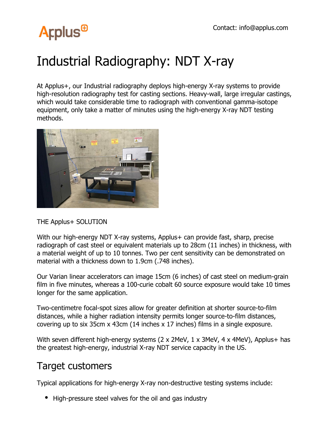# **Arplus<sup>®</sup>**

## Industrial Radiography: NDT X-ray

At Applus+, our Industrial radiography deploys high-energy X-ray systems to provide high-resolution radiography test for casting sections. Heavy-wall, large irregular castings, which would take considerable time to radiograph with conventional gamma-isotope equipment, only take a matter of minutes using the high-energy X-ray NDT testing methods.



#### THE Applus+ SOLUTION

With our high-energy NDT X-ray systems, Applus + can provide fast, sharp, precise radiograph of cast steel or equivalent materials up to 28cm (11 inches) in thickness, with a material weight of up to 10 tonnes. Two per cent sensitivity can be demonstrated on material with a thickness down to 1.9cm (.748 inches).

Our Varian linear accelerators can image 15cm (6 inches) of cast steel on medium-grain film in five minutes, whereas a 100-curie cobalt 60 source exposure would take 10 times longer for the same application.

Two-centimetre focal-spot sizes allow for greater definition at shorter source-to-film distances, while a higher radiation intensity permits longer source-to-film distances, covering up to six 35cm x 43cm (14 inches x 17 inches) films in a single exposure.

With seven different high-energy systems (2 x 2MeV, 1 x 3MeV, 4 x 4MeV), Applus+ has the greatest high-energy, industrial X-ray NDT service capacity in the US.

### Target customers

Typical applications for high-energy X-ray non-destructive testing systems include:

High-pressure steel valves for the oil and gas industry